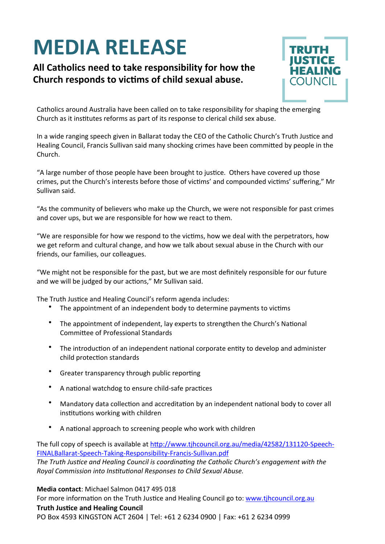## **MEDIA RELEASE**

## All Catholics need to take responsibility for how the Church responds to victims of child sexual abuse.



Catholics around Australia have been called on to take responsibility for shaping the emerging Church as it institutes reforms as part of its response to clerical child sex abuse.

In a wide ranging speech given in Ballarat today the CEO of the Catholic Church's Truth Justice and Healing Council, Francis Sullivan said many shocking crimes have been committed by people in the Church. 

"A large number of those people have been brought to justice. Others have covered up those crimes, put the Church's interests before those of victims' and compounded victims' suffering," Mr Sullivan said.

"As the community of believers who make up the Church, we were not responsible for past crimes and cover ups, but we are responsible for how we react to them.

"We are responsible for how we respond to the victims, how we deal with the perpetrators, how we get reform and cultural change, and how we talk about sexual abuse in the Church with our friends, our families, our colleagues.

"We might not be responsible for the past, but we are most definitely responsible for our future and we will be judged by our actions," Mr Sullivan said.

The Truth Justice and Healing Council's reform agenda includes:

- The appointment of an independent body to determine payments to victims
- The appointment of independent, lay experts to strengthen the Church's National Committee of Professional Standards
- The introduction of an independent national corporate entity to develop and administer child protection standards
- Greater transparency through public reporting
- A national watchdog to ensure child-safe practices
- Mandatory data collection and accreditation by an independent national body to cover all institutions working with children
- A national approach to screening people who work with children

The full copy of speech is available at http://www.tjhcouncil.org.au/media/42582/131120-Speech-[FINALBallarat-Speech-Taking-Responsibility-Francis-Sullivan.pdf](http://www.tjhcouncil.org.au/media/42582/131120-Speech-FINALBallarat-Speech-Taking-Responsibility-Francis-Sullivan.pdf)

The Truth Justice and Healing Council is coordinating the Catholic Church's engagement with the *Royal Commission into Institutional Responses to Child Sexual Abuse.* 

**Media contact:** Michael Salmon 0417 495 018

For more information on the Truth Justice and Healing Council go to: [www.tjhcouncil.org.au](http://www.tjhcouncil.org.au)

## **Truth Justice and Healing Council**

PO Box 4593 KINGSTON ACT 2604 | Tel: +61 2 6234 0900 | Fax: +61 2 6234 0999